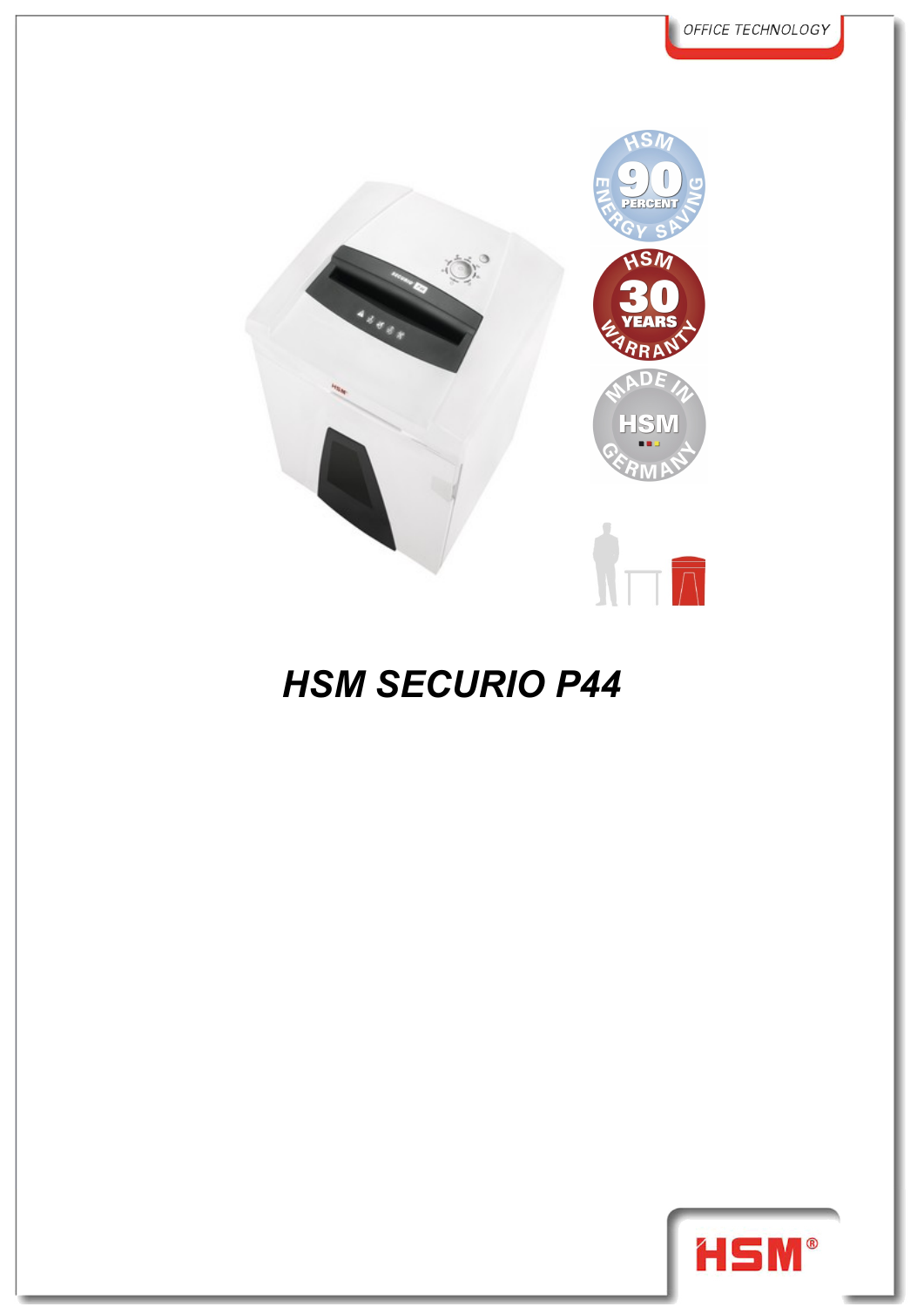

## **HSM SECURIO P44**

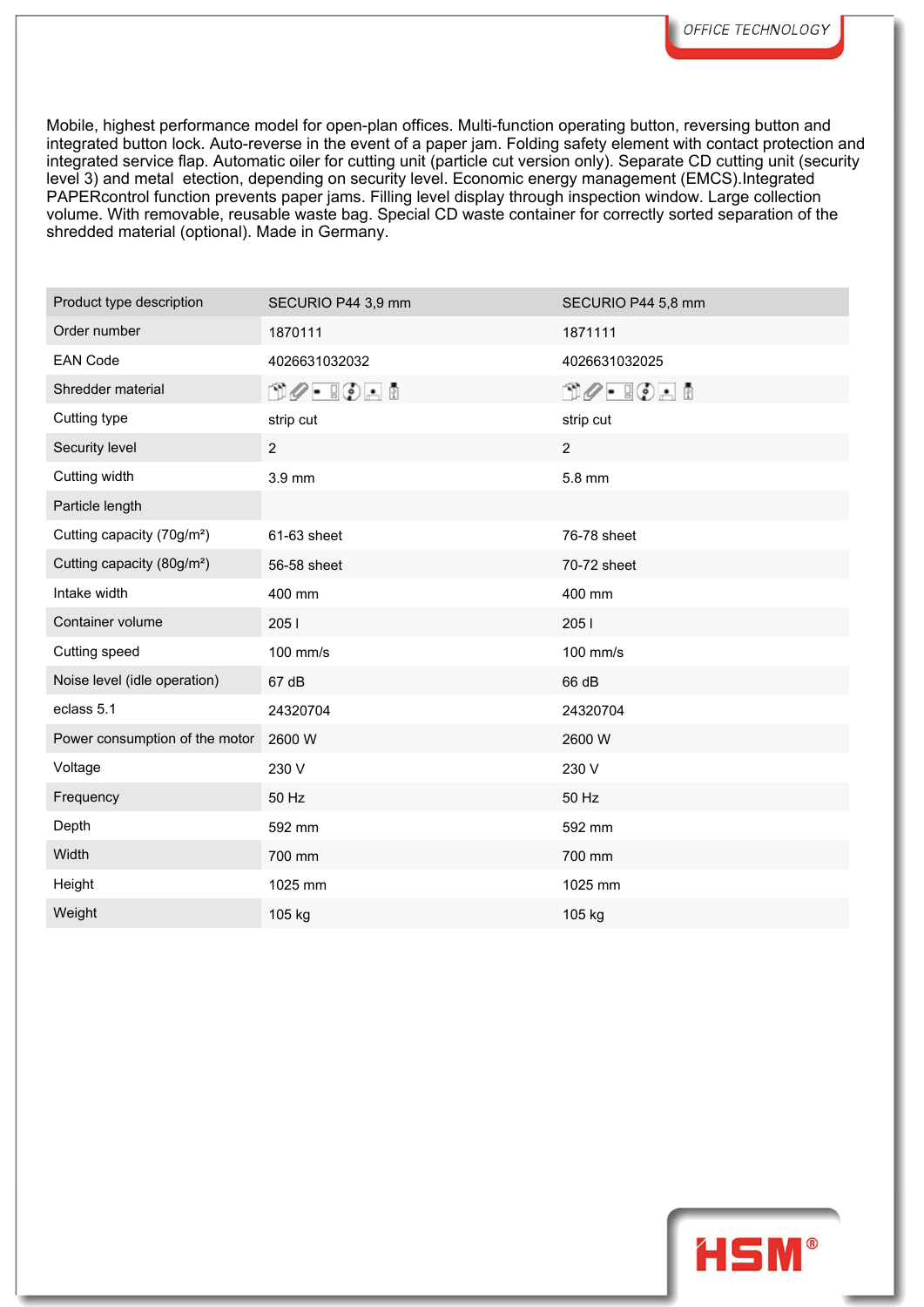Mobile, highest performance model for open-plan offices. Multi-function operating button, reversing button and integrated button lock. Auto-reverse in the event of a paper jam. Folding safety element with contact protection and integrated service flap. Automatic oiler for cutting unit (particle cut version only). Separate CD cutting unit (security level 3) and metal etection, depending on security level. Economic energy management (EMCS).Integrated PAPERcontrol function prevents paper jams. Filling level display through inspection window. Large collection volume. With removable, reusable waste bag. Special CD waste container for correctly sorted separation of the shredded material (optional). Made in Germany.

| Product type description               | SECURIO P44 3,9 mm                                              | SECURIO P44 5,8 mm                                                                                                                                                                                                                                                                                                                                  |  |
|----------------------------------------|-----------------------------------------------------------------|-----------------------------------------------------------------------------------------------------------------------------------------------------------------------------------------------------------------------------------------------------------------------------------------------------------------------------------------------------|--|
| Order number                           | 1870111                                                         | 1871111                                                                                                                                                                                                                                                                                                                                             |  |
| <b>EAN Code</b>                        | 4026631032032                                                   | 4026631032025                                                                                                                                                                                                                                                                                                                                       |  |
| Shredder material                      | $\mathbb{D}\mathscr{O}$ . $\mathbb{I}\mathbb{O}$ . $\mathbb{I}$ | $\begin{picture}(15,10) \put(0,0){\line(1,0){10}} \put(15,0){\line(1,0){10}} \put(15,0){\line(1,0){10}} \put(15,0){\line(1,0){10}} \put(15,0){\line(1,0){10}} \put(15,0){\line(1,0){10}} \put(15,0){\line(1,0){10}} \put(15,0){\line(1,0){10}} \put(15,0){\line(1,0){10}} \put(15,0){\line(1,0){10}} \put(15,0){\line(1,0){10}} \put(15,0){\line(1$ |  |
| Cutting type                           | strip cut                                                       | strip cut                                                                                                                                                                                                                                                                                                                                           |  |
| Security level                         | $\overline{2}$                                                  | $\overline{2}$                                                                                                                                                                                                                                                                                                                                      |  |
| Cutting width                          | 3.9 mm                                                          | 5.8 mm                                                                                                                                                                                                                                                                                                                                              |  |
| Particle length                        |                                                                 |                                                                                                                                                                                                                                                                                                                                                     |  |
| Cutting capacity (70g/m <sup>2</sup> ) | 61-63 sheet                                                     | 76-78 sheet                                                                                                                                                                                                                                                                                                                                         |  |
| Cutting capacity (80g/m <sup>2</sup> ) | 56-58 sheet                                                     | 70-72 sheet                                                                                                                                                                                                                                                                                                                                         |  |
| Intake width                           | 400 mm                                                          | 400 mm                                                                                                                                                                                                                                                                                                                                              |  |
| Container volume                       | 2051                                                            | 2051                                                                                                                                                                                                                                                                                                                                                |  |
| Cutting speed                          | 100 mm/s                                                        | 100 mm/s                                                                                                                                                                                                                                                                                                                                            |  |
| Noise level (idle operation)           | 67 dB                                                           | 66 dB                                                                                                                                                                                                                                                                                                                                               |  |
| eclass 5.1                             | 24320704                                                        | 24320704                                                                                                                                                                                                                                                                                                                                            |  |
| Power consumption of the motor         | 2600 W                                                          | 2600 W                                                                                                                                                                                                                                                                                                                                              |  |
| Voltage                                | 230 V                                                           | 230 V                                                                                                                                                                                                                                                                                                                                               |  |
| Frequency                              | 50 Hz                                                           | 50 Hz                                                                                                                                                                                                                                                                                                                                               |  |
| Depth                                  | 592 mm                                                          | 592 mm                                                                                                                                                                                                                                                                                                                                              |  |
| Width                                  | 700 mm                                                          | 700 mm                                                                                                                                                                                                                                                                                                                                              |  |
| Height                                 | 1025 mm                                                         | 1025 mm                                                                                                                                                                                                                                                                                                                                             |  |
| Weight                                 | 105 kg                                                          | 105 kg                                                                                                                                                                                                                                                                                                                                              |  |
|                                        |                                                                 |                                                                                                                                                                                                                                                                                                                                                     |  |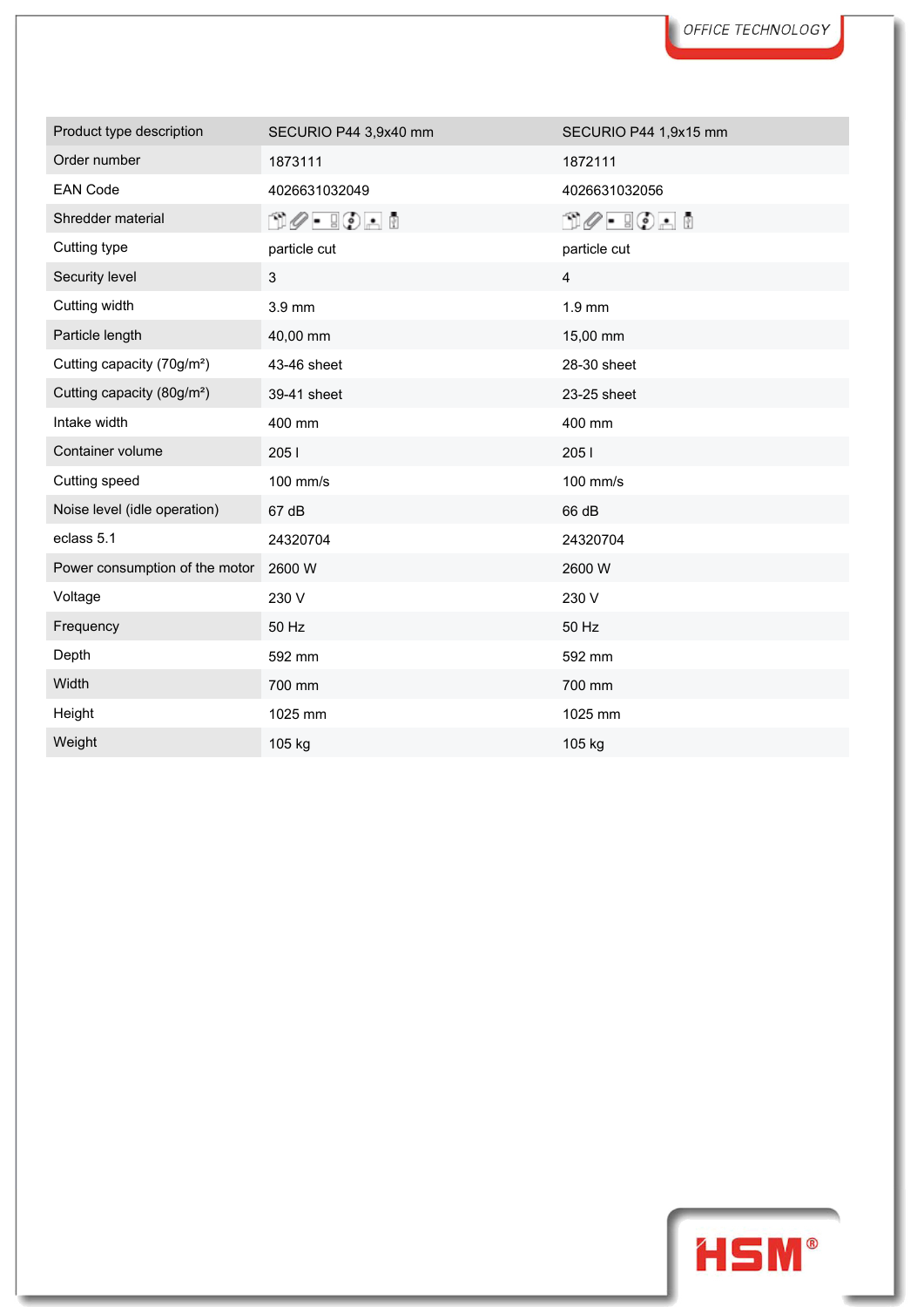| Product type description               | SECURIO P44 3,9x40 mm                                     | SECURIO P44 1,9x15 mm                                           |
|----------------------------------------|-----------------------------------------------------------|-----------------------------------------------------------------|
| Order number                           | 1873111                                                   | 1872111                                                         |
| <b>EAN Code</b>                        | 4026631032049                                             | 4026631032056                                                   |
| Shredder material                      | $\mathbb{C}$ $\mathscr{O}$ - $\mathbb{C}$ or $\mathbb{C}$ | $\mathbb{D}\mathscr{O}$ - $\mathbb{I}\mathbb{O}$ - $\mathbb{I}$ |
| Cutting type                           | particle cut                                              | particle cut                                                    |
| Security level                         | 3                                                         | $\overline{4}$                                                  |
| Cutting width                          | 3.9 mm                                                    | $1.9$ mm                                                        |
| Particle length                        | 40,00 mm                                                  | 15,00 mm                                                        |
| Cutting capacity (70g/m <sup>2</sup> ) | 43-46 sheet                                               | 28-30 sheet                                                     |
| Cutting capacity (80g/m <sup>2</sup> ) | 39-41 sheet                                               | 23-25 sheet                                                     |
| Intake width                           | 400 mm                                                    | 400 mm                                                          |
| Container volume                       | 2051                                                      | 205 l                                                           |
| Cutting speed                          | 100 mm/s                                                  | 100 mm/s                                                        |
| Noise level (idle operation)           | 67 dB                                                     | 66 dB                                                           |
| eclass 5.1                             | 24320704                                                  | 24320704                                                        |
| Power consumption of the motor         | 2600 W                                                    | 2600 W                                                          |
| Voltage                                | 230 V                                                     | 230 V                                                           |
| Frequency                              | 50 Hz                                                     | 50 Hz                                                           |
| Depth                                  | 592 mm                                                    | 592 mm                                                          |
| Width                                  | 700 mm                                                    | 700 mm                                                          |
| Height                                 | 1025 mm                                                   | 1025 mm                                                         |
| Weight                                 | 105 kg                                                    | 105 kg                                                          |

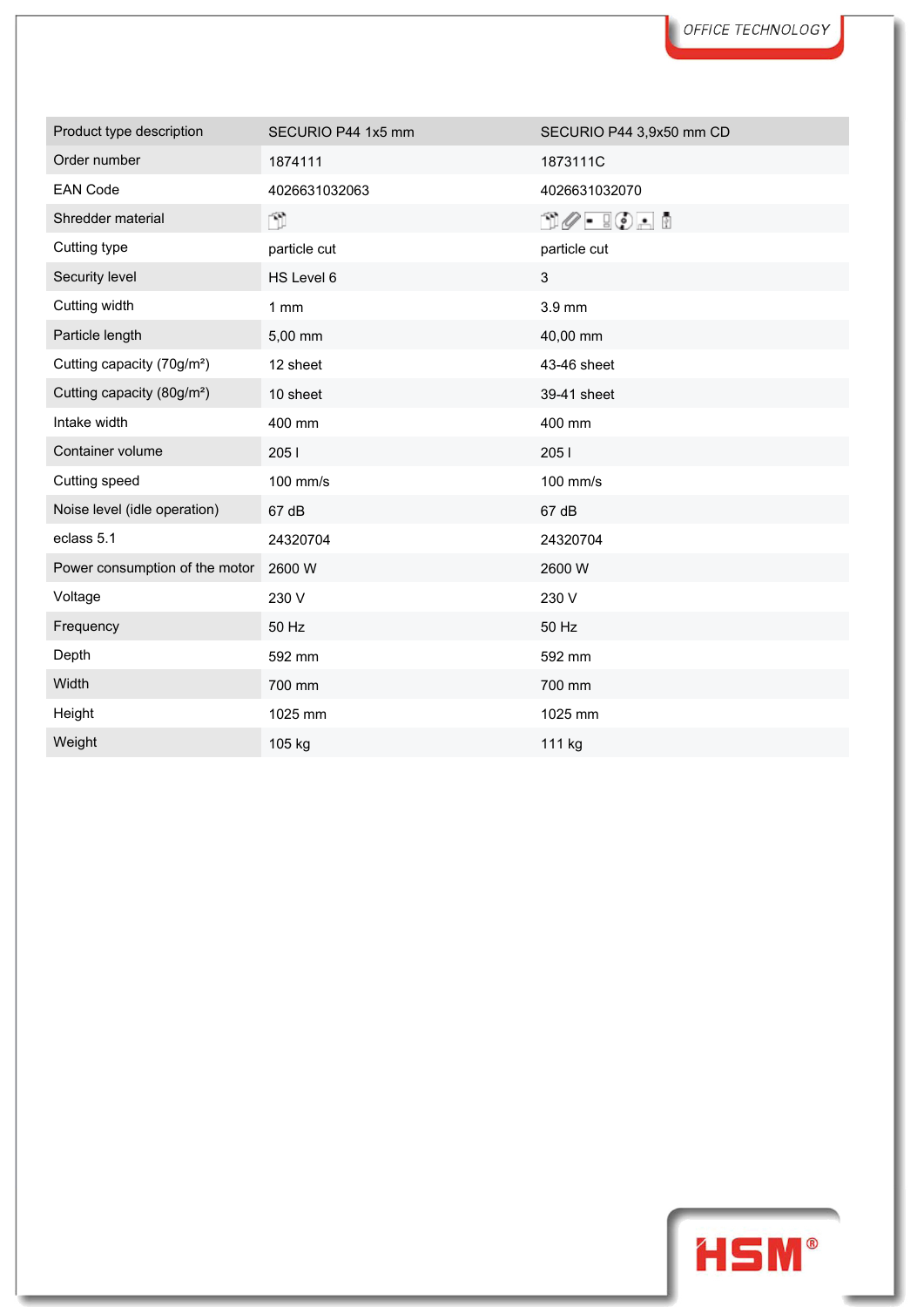| Product type description               | SECURIO P44 1x5 mm | SECURIO P44 3,9x50 mm CD                    |
|----------------------------------------|--------------------|---------------------------------------------|
| Order number                           | 1874111            | 1873111C                                    |
| <b>EAN Code</b>                        | 4026631032063      | 4026631032070                               |
| Shredder material                      | n)                 | $\mathbb{C}\mathscr{O}$ . To a $\mathbb{C}$ |
| Cutting type                           | particle cut       | particle cut                                |
| Security level                         | HS Level 6         | $\mathfrak{S}$                              |
| Cutting width                          | 1mm                | 3.9 mm                                      |
| Particle length                        | 5,00 mm            | 40,00 mm                                    |
| Cutting capacity (70g/m <sup>2</sup> ) | 12 sheet           | 43-46 sheet                                 |
| Cutting capacity (80g/m <sup>2</sup> ) | 10 sheet           | 39-41 sheet                                 |
| Intake width                           | 400 mm             | 400 mm                                      |
| Container volume                       | 2051               | 2051                                        |
| Cutting speed                          | 100 mm/s           | 100 mm/s                                    |
| Noise level (idle operation)           | 67 dB              | 67 dB                                       |
| eclass 5.1                             | 24320704           | 24320704                                    |
| Power consumption of the motor         | 2600 W             | 2600 W                                      |
| Voltage                                | 230 V              | 230 V                                       |
| Frequency                              | 50 Hz              | 50 Hz                                       |
| Depth                                  | 592 mm             | 592 mm                                      |
| Width                                  | 700 mm             | 700 mm                                      |
| Height                                 | 1025 mm            | 1025 mm                                     |
| Weight                                 | 105 kg             | 111 kg                                      |

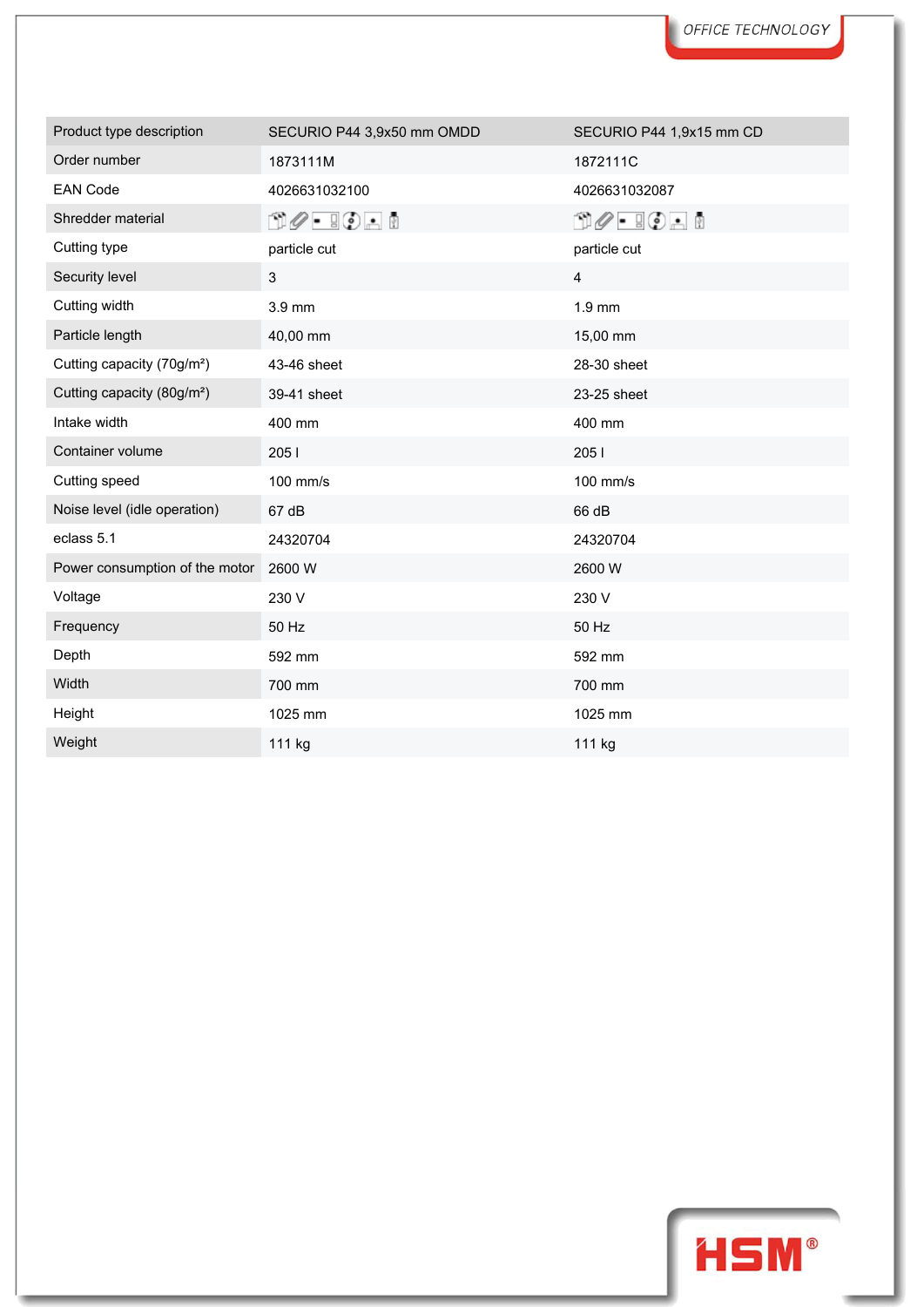| Product type description               | SECURIO P44 3,9x50 mm OMDD | SECURIO P44 1,9x15 mm CD |
|----------------------------------------|----------------------------|--------------------------|
| Order number                           | 1873111M                   | 1872111C                 |
| <b>EAN Code</b>                        | 4026631032100              | 4026631032087            |
| Shredder material                      | 00 - 90 - 1                | 00 - 00 - 0              |
| Cutting type                           | particle cut               | particle cut             |
| Security level                         | 3                          | 4                        |
| Cutting width                          | 3.9 mm                     | $1.9$ mm                 |
| Particle length                        | 40,00 mm                   | 15,00 mm                 |
| Cutting capacity (70g/m <sup>2</sup> ) | 43-46 sheet                | 28-30 sheet              |
| Cutting capacity (80g/m <sup>2</sup> ) | 39-41 sheet                | 23-25 sheet              |
| Intake width                           | 400 mm                     | 400 mm                   |
| Container volume                       | 2051                       | 2051                     |
| Cutting speed                          | 100 mm/s                   | 100 mm/s                 |
| Noise level (idle operation)           | 67 dB                      | 66 dB                    |
| eclass 5.1                             | 24320704                   | 24320704                 |
| Power consumption of the motor         | 2600 W                     | 2600 W                   |
| Voltage                                | 230 V                      | 230 V                    |
| Frequency                              | 50 Hz                      | 50 Hz                    |
| Depth                                  | 592 mm                     | 592 mm                   |
| Width                                  | 700 mm                     | 700 mm                   |
| Height                                 | 1025 mm                    | 1025 mm                  |
| Weight                                 | 111 kg                     | 111 kg                   |

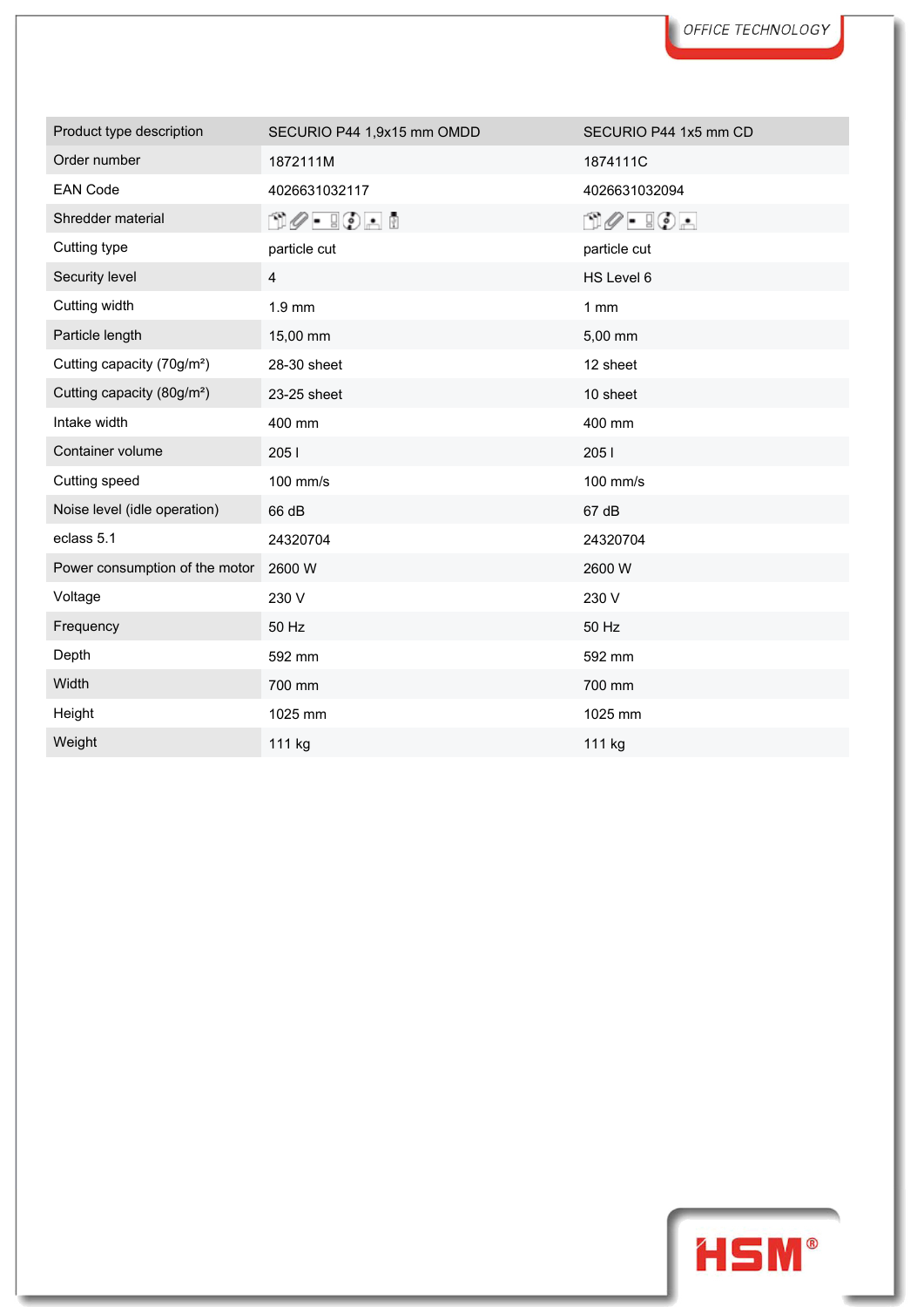| Product type description               | SECURIO P44 1,9x15 mm OMDD | SECURIO P44 1x5 mm CD           |
|----------------------------------------|----------------------------|---------------------------------|
| Order number                           | 1872111M                   | 1874111C                        |
| <b>EAN Code</b>                        | 4026631032117              | 4026631032094                   |
| Shredder material                      | 00 - 80 - 8                | $\Box \oslash - \Box \oslash -$ |
| Cutting type                           | particle cut               | particle cut                    |
| Security level                         | $\overline{\mathbf{4}}$    | HS Level 6                      |
| Cutting width                          | $1.9$ mm                   | 1mm                             |
| Particle length                        | 15,00 mm                   | 5,00 mm                         |
| Cutting capacity (70g/m <sup>2</sup> ) | 28-30 sheet                | 12 sheet                        |
| Cutting capacity (80g/m <sup>2</sup> ) | 23-25 sheet                | 10 sheet                        |
| Intake width                           | 400 mm                     | 400 mm                          |
| Container volume                       | 2051                       | 205 l                           |
| Cutting speed                          | 100 mm/s                   | 100 mm/s                        |
| Noise level (idle operation)           | 66 dB                      | 67 dB                           |
| eclass 5.1                             | 24320704                   | 24320704                        |
| Power consumption of the motor         | 2600 W                     | 2600 W                          |
| Voltage                                | 230 V                      | 230 V                           |
| Frequency                              | 50 Hz                      | 50 Hz                           |
| Depth                                  | 592 mm                     | 592 mm                          |
| Width                                  | 700 mm                     | 700 mm                          |
| Height                                 | 1025 mm                    | 1025 mm                         |
| Weight                                 | 111 kg                     | 111 kg                          |

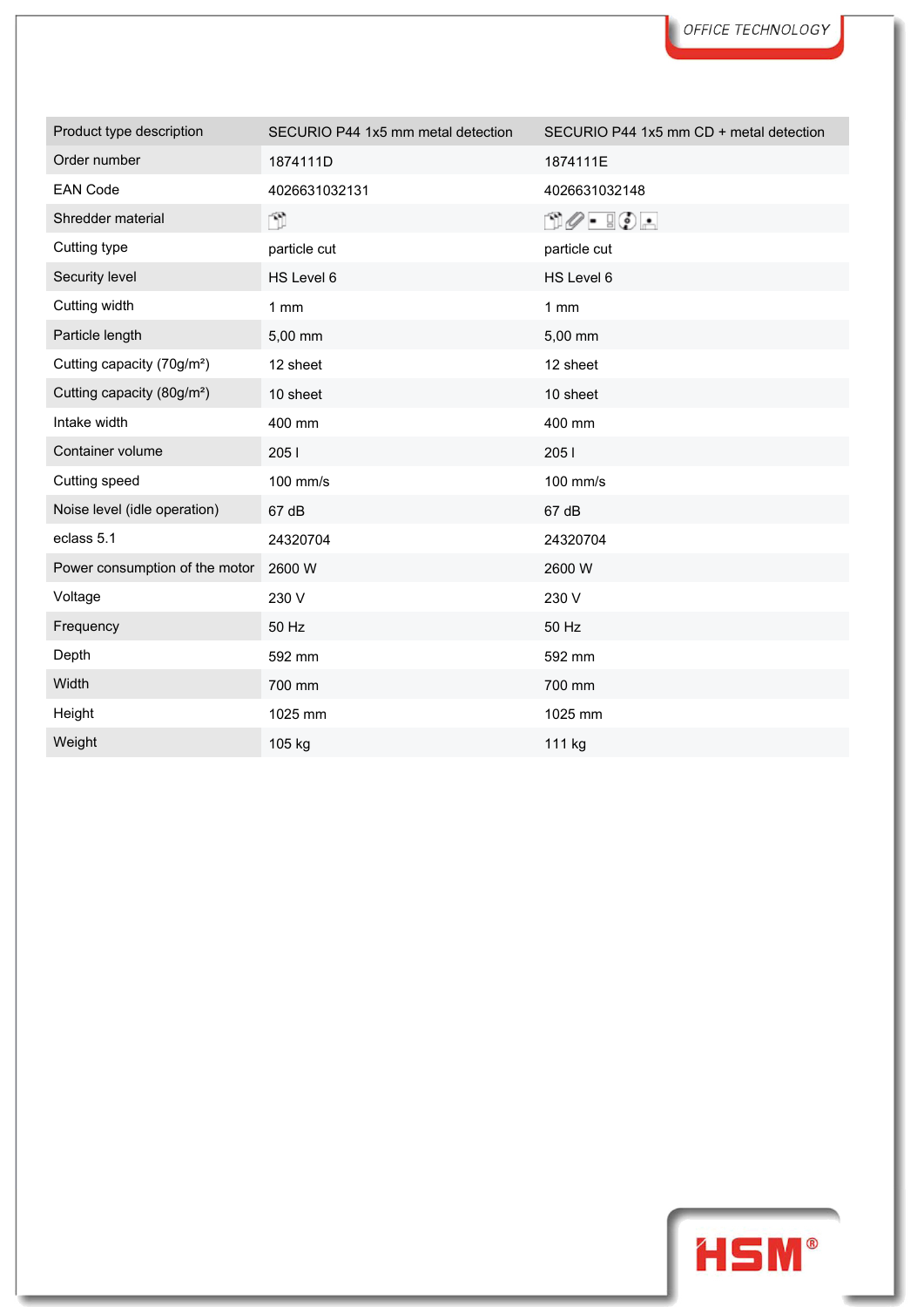| Product type description               | SECURIO P44 1x5 mm metal detection | SECURIO P44 1x5 mm CD + metal detection   |
|----------------------------------------|------------------------------------|-------------------------------------------|
| Order number                           | 1874111D                           | 1874111E                                  |
| <b>EAN Code</b>                        | 4026631032131                      | 4026631032148                             |
| Shredder material                      | n.                                 | $\Box \oslash \cdot \ \Box \oslash \cdot$ |
| Cutting type                           | particle cut                       | particle cut                              |
| Security level                         | HS Level 6                         | HS Level 6                                |
| Cutting width                          | 1mm                                | 1mm                                       |
| Particle length                        | 5,00 mm                            | 5,00 mm                                   |
| Cutting capacity (70g/m <sup>2</sup> ) | 12 sheet                           | 12 sheet                                  |
| Cutting capacity (80g/m <sup>2</sup> ) | 10 sheet                           | 10 sheet                                  |
| Intake width                           | 400 mm                             | 400 mm                                    |
| Container volume                       | 2051                               | 2051                                      |
| Cutting speed                          | 100 mm/s                           | 100 mm/s                                  |
| Noise level (idle operation)           | 67 dB                              | 67 dB                                     |
| eclass 5.1                             | 24320704                           | 24320704                                  |
| Power consumption of the motor         | 2600 W                             | 2600 W                                    |
| Voltage                                | 230 V                              | 230 V                                     |
| Frequency                              | 50 Hz                              | 50 Hz                                     |
| Depth                                  | 592 mm                             | 592 mm                                    |
| Width                                  | 700 mm                             | 700 mm                                    |
| Height                                 | 1025 mm                            | 1025 mm                                   |
| Weight                                 | 105 kg                             | 111 kg                                    |